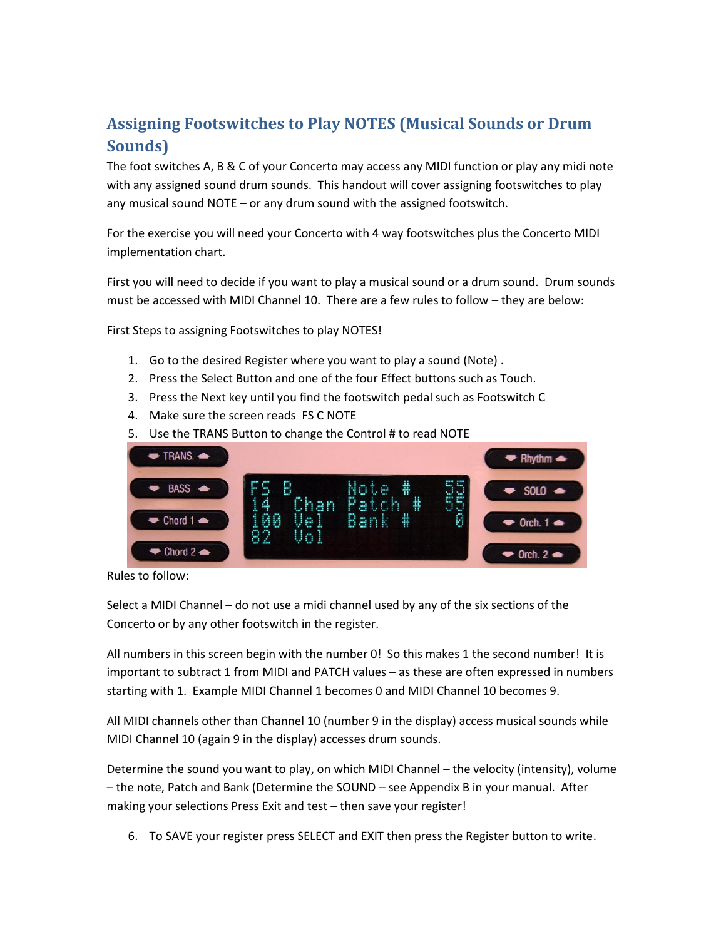## **Assigning Footswitches to Play NOTES (Musical Sounds or Drum Sounds)**

The foot switches A, B & C of your Concerto may access any MIDI function or play any midi note with any assigned sound drum sounds. This handout will cover assigning footswitches to play any musical sound NOTE – or any drum sound with the assigned footswitch.

For the exercise you will need your Concerto with 4 way footswitches plus the Concerto MIDI implementation chart.

First you will need to decide if you want to play a musical sound or a drum sound. Drum sounds must be accessed with MIDI Channel 10. There are a few rules to follow – they are below:

First Steps to assigning Footswitches to play NOTES!

- 1. Go to the desired Register where you want to play a sound (Note) .
- 2. Press the Select Button and one of the four Effect buttons such as Touch.
- 3. Press the Next key until you find the footswitch pedal such as Footswitch C
- 4. Make sure the screen reads FS C NOTE
- 5. Use the TRANS Button to change the Control # to read NOTE



Rules to follow:

Select a MIDI Channel – do not use a midi channel used by any of the six sections of the Concerto or by any other footswitch in the register.

important to subtract 1 from MIDI and PATCH values – as these are often expressed in numbers starting with 1. Example MIDI Channel 1 becomes 0 and MIDI Channel 10 becomes 9. All numbers in this screen begin with the number 0! So this makes 1 the second number! It is

All MIDI channels other than Channel 10 (number 9 in the display) access musical sounds while MIDI Channel 10 (again 9 in the display) accesses drum sounds.

Determine the sound you want to play, on which MIDI Channel – the velocity (intensity), volume – the note, Patch and Bank (Determine the SOUND – see Appendix B in your manual. After making your selections Press Exit and test – then save your register!

6. To SAVE your register press SELECT and EXIT then press the Register button to write.